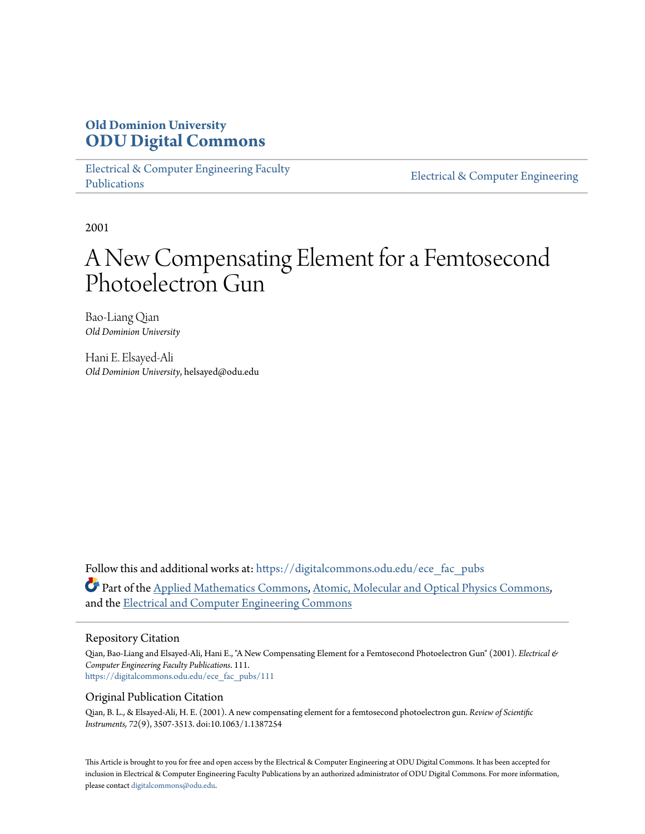## **Old Dominion University [ODU Digital Commons](https://digitalcommons.odu.edu?utm_source=digitalcommons.odu.edu%2Fece_fac_pubs%2F111&utm_medium=PDF&utm_campaign=PDFCoverPages)**

[Electrical & Computer Engineering Faculty](https://digitalcommons.odu.edu/ece_fac_pubs?utm_source=digitalcommons.odu.edu%2Fece_fac_pubs%2F111&utm_medium=PDF&utm_campaign=PDFCoverPages) [Publications](https://digitalcommons.odu.edu/ece_fac_pubs?utm_source=digitalcommons.odu.edu%2Fece_fac_pubs%2F111&utm_medium=PDF&utm_campaign=PDFCoverPages)

[Electrical & Computer Engineering](https://digitalcommons.odu.edu/ece?utm_source=digitalcommons.odu.edu%2Fece_fac_pubs%2F111&utm_medium=PDF&utm_campaign=PDFCoverPages)

2001

# A New Compensating Element for a Femtosecond Photoelectron Gun

Bao-Liang Qian *Old Dominion University*

Hani E. Elsayed-Ali *Old Dominion University*, helsayed@odu.edu

Follow this and additional works at: [https://digitalcommons.odu.edu/ece\\_fac\\_pubs](https://digitalcommons.odu.edu/ece_fac_pubs?utm_source=digitalcommons.odu.edu%2Fece_fac_pubs%2F111&utm_medium=PDF&utm_campaign=PDFCoverPages) Part of the [Applied Mathematics Commons](http://network.bepress.com/hgg/discipline/115?utm_source=digitalcommons.odu.edu%2Fece_fac_pubs%2F111&utm_medium=PDF&utm_campaign=PDFCoverPages), [Atomic, Molecular and Optical Physics Commons](http://network.bepress.com/hgg/discipline/195?utm_source=digitalcommons.odu.edu%2Fece_fac_pubs%2F111&utm_medium=PDF&utm_campaign=PDFCoverPages), and the [Electrical and Computer Engineering Commons](http://network.bepress.com/hgg/discipline/266?utm_source=digitalcommons.odu.edu%2Fece_fac_pubs%2F111&utm_medium=PDF&utm_campaign=PDFCoverPages)

#### Repository Citation

Qian, Bao-Liang and Elsayed-Ali, Hani E., "A New Compensating Element for a Femtosecond Photoelectron Gun" (2001). *Electrical & Computer Engineering Faculty Publications*. 111. [https://digitalcommons.odu.edu/ece\\_fac\\_pubs/111](https://digitalcommons.odu.edu/ece_fac_pubs/111?utm_source=digitalcommons.odu.edu%2Fece_fac_pubs%2F111&utm_medium=PDF&utm_campaign=PDFCoverPages)

#### Original Publication Citation

Qian, B. L., & Elsayed-Ali, H. E. (2001). A new compensating element for a femtosecond photoelectron gun. *Review of Scientific Instruments, 72*(9), 3507-3513. doi:10.1063/1.1387254

This Article is brought to you for free and open access by the Electrical & Computer Engineering at ODU Digital Commons. It has been accepted for inclusion in Electrical & Computer Engineering Faculty Publications by an authorized administrator of ODU Digital Commons. For more information, please contact [digitalcommons@odu.edu](mailto:digitalcommons@odu.edu).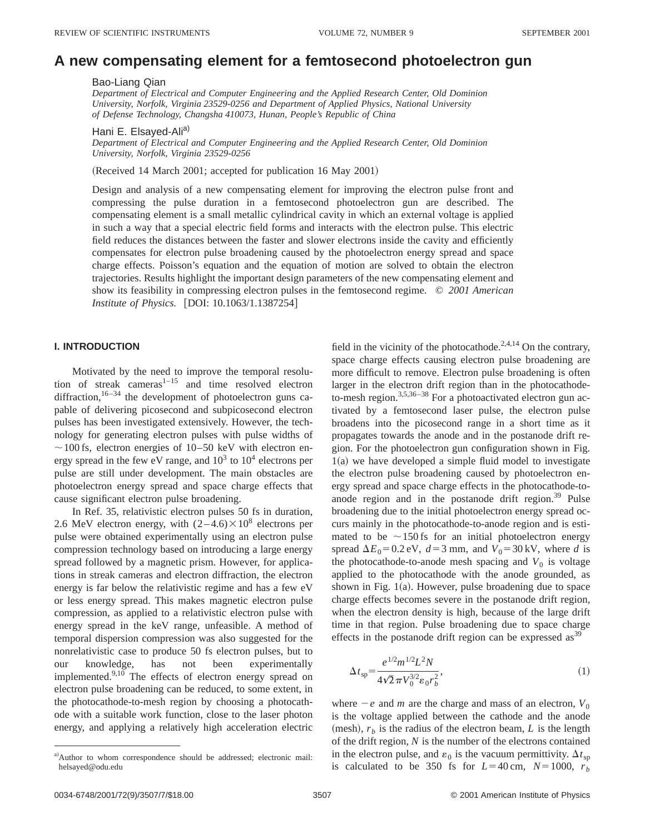### **A new compensating element for a femtosecond photoelectron gun**

#### Bao-Liang Qian

*Department of Electrical and Computer Engineering and the Applied Research Center, Old Dominion University, Norfolk, Virginia 23529-0256 and Department of Applied Physics, National University of Defense Technology, Changsha 410073, Hunan, People's Republic of China*

Hani E. Elsayed-Ali<sup>a)</sup>

*Department of Electrical and Computer Engineering and the Applied Research Center, Old Dominion University, Norfolk, Virginia 23529-0256*

(Received 14 March 2001; accepted for publication 16 May 2001)

Design and analysis of a new compensating element for improving the electron pulse front and compressing the pulse duration in a femtosecond photoelectron gun are described. The compensating element is a small metallic cylindrical cavity in which an external voltage is applied in such a way that a special electric field forms and interacts with the electron pulse. This electric field reduces the distances between the faster and slower electrons inside the cavity and efficiently compensates for electron pulse broadening caused by the photoelectron energy spread and space charge effects. Poisson's equation and the equation of motion are solved to obtain the electron trajectories. Results highlight the important design parameters of the new compensating element and show its feasibility in compressing electron pulses in the femtosecond regime. © *2001 American Institute of Physics.* [DOI: 10.1063/1.1387254]

#### **I. INTRODUCTION**

Motivated by the need to improve the temporal resolution of streak cameras $1-15$  and time resolved electron diffraction,<sup>16-34</sup> the development of photoelectron guns capable of delivering picosecond and subpicosecond electron pulses has been investigated extensively. However, the technology for generating electron pulses with pulse widths of  $\sim$  100 fs, electron energies of 10–50 keV with electron energy spread in the few eV range, and  $10^3$  to  $10^4$  electrons per pulse are still under development. The main obstacles are photoelectron energy spread and space charge effects that cause significant electron pulse broadening.

In Ref. 35, relativistic electron pulses 50 fs in duration, 2.6 MeV electron energy, with  $(2-4.6)\times10^8$  electrons per pulse were obtained experimentally using an electron pulse compression technology based on introducing a large energy spread followed by a magnetic prism. However, for applications in streak cameras and electron diffraction, the electron energy is far below the relativistic regime and has a few eV or less energy spread. This makes magnetic electron pulse compression, as applied to a relativistic electron pulse with energy spread in the keV range, unfeasible. A method of temporal dispersion compression was also suggested for the nonrelativistic case to produce 50 fs electron pulses, but to our knowledge, has not been experimentally implemented.<sup>9,10</sup> The effects of electron energy spread on electron pulse broadening can be reduced, to some extent, in the photocathode-to-mesh region by choosing a photocathode with a suitable work function, close to the laser photon energy, and applying a relatively high acceleration electric

field in the vicinity of the photocathode.<sup>2,4,14</sup> On the contrary, space charge effects causing electron pulse broadening are more difficult to remove. Electron pulse broadening is often larger in the electron drift region than in the photocathodeto-mesh region.<sup>3,5,36–38</sup> For a photoactivated electron gun activated by a femtosecond laser pulse, the electron pulse broadens into the picosecond range in a short time as it propagates towards the anode and in the postanode drift region. For the photoelectron gun configuration shown in Fig.  $1(a)$  we have developed a simple fluid model to investigate the electron pulse broadening caused by photoelectron energy spread and space charge effects in the photocathode-toanode region and in the postanode drift region.<sup>39</sup> Pulse broadening due to the initial photoelectron energy spread occurs mainly in the photocathode-to-anode region and is estimated to be  $\sim$ 150 fs for an initial photoelectron energy spread  $\Delta E_0 = 0.2$  eV,  $d = 3$  mm, and  $V_0 = 30$  kV, where *d* is the photocathode-to-anode mesh spacing and  $V_0$  is voltage applied to the photocathode with the anode grounded, as shown in Fig.  $1(a)$ . However, pulse broadening due to space charge effects becomes severe in the postanode drift region, when the electron density is high, because of the large drift time in that region. Pulse broadening due to space charge effects in the postanode drift region can be expressed  $\text{as}^{39}$ 

$$
\Delta t_{sp} = \frac{e^{1/2} m^{1/2} L^2 N}{4 \sqrt{2} \pi V_0^{3/2} \epsilon_0 r_b^2},\tag{1}
$$

where  $-e$  and *m* are the charge and mass of an electron,  $V_0$ is the voltage applied between the cathode and the anode (mesh),  $r_b$  is the radius of the electron beam, *L* is the length of the drift region, *N* is the number of the electrons contained in the electron pulse, and  $\varepsilon_0$  is the vacuum permittivity.  $\Delta t_{\rm sn}$ is calculated to be 350 fs for  $L=40$  cm,  $N=1000$ ,  $r<sub>b</sub>$ 

a)Author to whom correspondence should be addressed; electronic mail: helsayed@odu.edu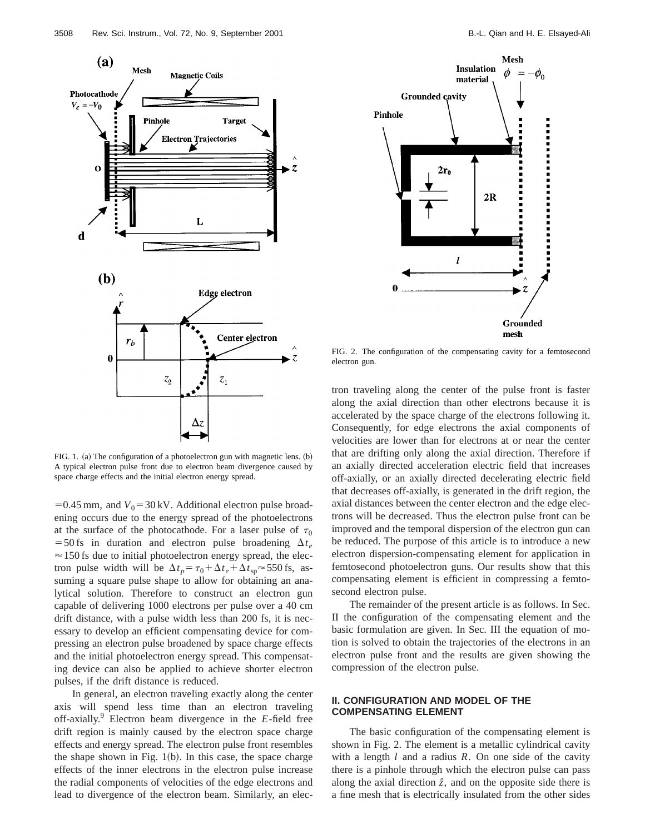

FIG. 1. (a) The configuration of a photoelectron gun with magnetic lens.  $(b)$ A typical electron pulse front due to electron beam divergence caused by space charge effects and the initial electron energy spread.

 $=0.45$  mm, and  $V_0 = 30$  kV. Additional electron pulse broadening occurs due to the energy spread of the photoelectrons at the surface of the photocathode. For a laser pulse of  $\tau_0$ =50 fs in duration and electron pulse broadening  $\Delta t_e$  $\approx$  150 fs due to initial photoelectron energy spread, the electron pulse width will be  $\Delta t_p = \tau_0 + \Delta t_e + \Delta t_{sp} \approx 550$  fs, assuming a square pulse shape to allow for obtaining an analytical solution. Therefore to construct an electron gun capable of delivering 1000 electrons per pulse over a 40 cm drift distance, with a pulse width less than 200 fs, it is necessary to develop an efficient compensating device for compressing an electron pulse broadened by space charge effects and the initial photoelectron energy spread. This compensating device can also be applied to achieve shorter electron pulses, if the drift distance is reduced.

In general, an electron traveling exactly along the center axis will spend less time than an electron traveling off-axially.9 Electron beam divergence in the *E*-field free drift region is mainly caused by the electron space charge effects and energy spread. The electron pulse front resembles the shape shown in Fig.  $1(b)$ . In this case, the space charge effects of the inner electrons in the electron pulse increase the radial components of velocities of the edge electrons and lead to divergence of the electron beam. Similarly, an elec-



FIG. 2. The configuration of the compensating cavity for a femtosecond electron gun.

tron traveling along the center of the pulse front is faster along the axial direction than other electrons because it is accelerated by the space charge of the electrons following it. Consequently, for edge electrons the axial components of velocities are lower than for electrons at or near the center that are drifting only along the axial direction. Therefore if an axially directed acceleration electric field that increases off-axially, or an axially directed decelerating electric field that decreases off-axially, is generated in the drift region, the axial distances between the center electron and the edge electrons will be decreased. Thus the electron pulse front can be improved and the temporal dispersion of the electron gun can be reduced. The purpose of this article is to introduce a new electron dispersion-compensating element for application in femtosecond photoelectron guns. Our results show that this compensating element is efficient in compressing a femtosecond electron pulse.

The remainder of the present article is as follows. In Sec. II the configuration of the compensating element and the basic formulation are given. In Sec. III the equation of motion is solved to obtain the trajectories of the electrons in an electron pulse front and the results are given showing the compression of the electron pulse.

#### **II. CONFIGURATION AND MODEL OF THE COMPENSATING ELEMENT**

The basic configuration of the compensating element is shown in Fig. 2. The element is a metallic cylindrical cavity with a length *l* and a radius *R*. On one side of the cavity there is a pinhole through which the electron pulse can pass along the axial direction  $\hat{z}$ , and on the opposite side there is a fine mesh that is electrically insulated from the other sides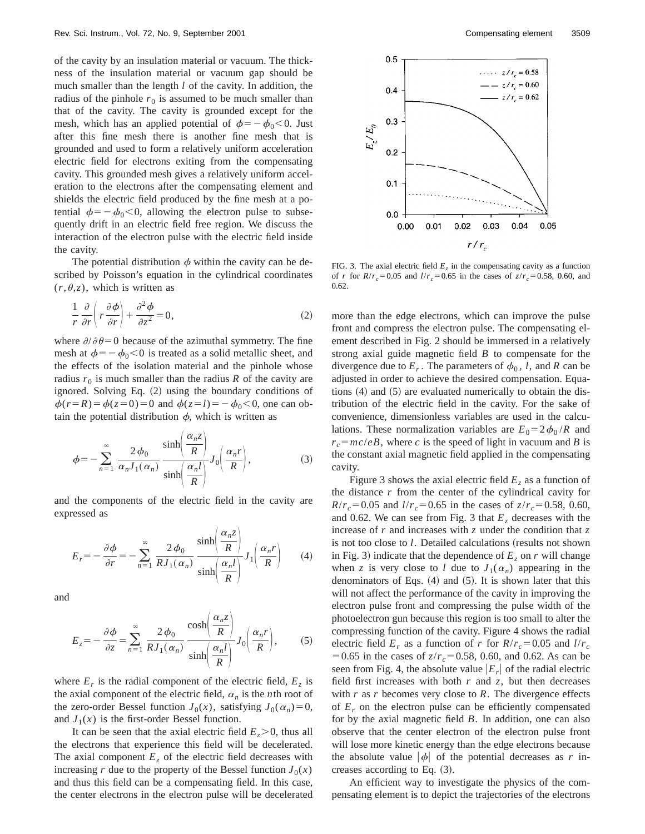of the cavity by an insulation material or vacuum. The thickness of the insulation material or vacuum gap should be much smaller than the length *l* of the cavity. In addition, the radius of the pinhole  $r_0$  is assumed to be much smaller than that of the cavity. The cavity is grounded except for the mesh, which has an applied potential of  $\phi = -\phi_0 < 0$ . Just after this fine mesh there is another fine mesh that is grounded and used to form a relatively uniform acceleration electric field for electrons exiting from the compensating cavity. This grounded mesh gives a relatively uniform acceleration to the electrons after the compensating element and shields the electric field produced by the fine mesh at a potential  $\phi = -\phi_0 < 0$ , allowing the electron pulse to subsequently drift in an electric field free region. We discuss the interaction of the electron pulse with the electric field inside the cavity.

The potential distribution  $\phi$  within the cavity can be described by Poisson's equation in the cylindrical coordinates  $(r, \theta, z)$ , which is written as

$$
\frac{1}{r}\frac{\partial}{\partial r}\left(r\frac{\partial\phi}{\partial r}\right) + \frac{\partial^2\phi}{\partial z^2} = 0,
$$
\n(2)

where  $\partial/\partial\theta=0$  because of the azimuthal symmetry. The fine mesh at  $\phi = -\phi_0 < 0$  is treated as a solid metallic sheet, and the effects of the isolation material and the pinhole whose radius  $r_0$  is much smaller than the radius  $R$  of the cavity are ignored. Solving Eq.  $(2)$  using the boundary conditions of  $\phi(r=R) = \phi(z=0) = 0$  and  $\phi(z=l) = -\phi_0 < 0$ , one can obtain the potential distribution  $\phi$ , which is written as

$$
\phi = -\sum_{n=1}^{\infty} \frac{2\phi_0}{\alpha_n J_1(\alpha_n)} \frac{\sinh\left(\frac{\alpha_n z}{R}\right)}{\sinh\left(\frac{\alpha_n l}{R}\right)} J_0\left(\frac{\alpha_n r}{R}\right),\tag{3}
$$

and the components of the electric field in the cavity are expressed as

$$
E_r = -\frac{\partial \phi}{\partial r} = -\sum_{n=1}^{\infty} \frac{2\phi_0}{R J_1(\alpha_n)} \frac{\sinh\left(\frac{\alpha_n z}{R}\right)}{\sinh\left(\frac{\alpha_n l}{R}\right)} J_1\left(\frac{\alpha_n r}{R}\right) \tag{4}
$$

and

$$
E_z = -\frac{\partial \phi}{\partial z} = \sum_{n=1}^{\infty} \frac{2\phi_0}{R J_1(\alpha_n)} \frac{\cosh\left(\frac{\alpha_n z}{R}\right)}{\sinh\left(\frac{\alpha_n l}{R}\right)} J_0\left(\frac{\alpha_n r}{R}\right),\tag{5}
$$

where  $E_r$  is the radial component of the electric field,  $E_z$  is the axial component of the electric field,  $\alpha_n$  is the *n*th root of the zero-order Bessel function  $J_0(x)$ , satisfying  $J_0(\alpha_n)=0$ , and  $J_1(x)$  is the first-order Bessel function.

It can be seen that the axial electric field  $E_z > 0$ , thus all the electrons that experience this field will be decelerated. The axial component  $E<sub>z</sub>$  of the electric field decreases with increasing *r* due to the property of the Bessel function  $J_0(x)$ and thus this field can be a compensating field. In this case, the center electrons in the electron pulse will be decelerated



FIG. 3. The axial electric field  $E_z$  in the compensating cavity as a function of *r* for  $R/r_c = 0.05$  and  $l/r_c = 0.65$  in the cases of  $z/r_c = 0.58$ , 0.60, and 0.62.

more than the edge electrons, which can improve the pulse front and compress the electron pulse. The compensating element described in Fig. 2 should be immersed in a relatively strong axial guide magnetic field *B* to compensate for the divergence due to  $E_r$ . The parameters of  $\phi_0$ , *l*, and *R* can be adjusted in order to achieve the desired compensation. Equations  $(4)$  and  $(5)$  are evaluated numerically to obtain the distribution of the electric field in the cavity. For the sake of convenience, dimensionless variables are used in the calculations. These normalization variables are  $E_0 = 2 \phi_0 / R$  and  $r_c = mc/eB$ , where *c* is the speed of light in vacuum and *B* is the constant axial magnetic field applied in the compensating cavity.

Figure 3 shows the axial electric field  $E<sub>z</sub>$  as a function of the distance *r* from the center of the cylindrical cavity for  $R/r_c = 0.05$  and  $l/r_c = 0.65$  in the cases of  $z/r_c = 0.58$ , 0.60, and 0.62. We can see from Fig. 3 that  $E<sub>z</sub>$  decreases with the increase of *r* and increases with *z* under the condition that *z* is not too close to *l*. Detailed calculations (results not shown in Fig. 3) indicate that the dependence of  $E_z$  on  $r$  will change when *z* is very close to *l* due to  $J_1(\alpha_n)$  appearing in the denominators of Eqs.  $(4)$  and  $(5)$ . It is shown later that this will not affect the performance of the cavity in improving the electron pulse front and compressing the pulse width of the photoelectron gun because this region is too small to alter the compressing function of the cavity. Figure 4 shows the radial electric field  $E_r$  as a function of *r* for  $R/r_c = 0.05$  and  $l/r_c$  $= 0.65$  in the cases of  $z/r_c = 0.58$ , 0.60, and 0.62. As can be seen from Fig. 4, the absolute value  $|E_r|$  of the radial electric field first increases with both  $r$  and  $z$ , but then decreases with *r* as *r* becomes very close to *R*. The divergence effects of  $E_r$  on the electron pulse can be efficiently compensated for by the axial magnetic field *B*. In addition, one can also observe that the center electron of the electron pulse front will lose more kinetic energy than the edge electrons because the absolute value  $|\phi|$  of the potential decreases as *r* increases according to Eq.  $(3)$ .

An efficient way to investigate the physics of the compensating element is to depict the trajectories of the electrons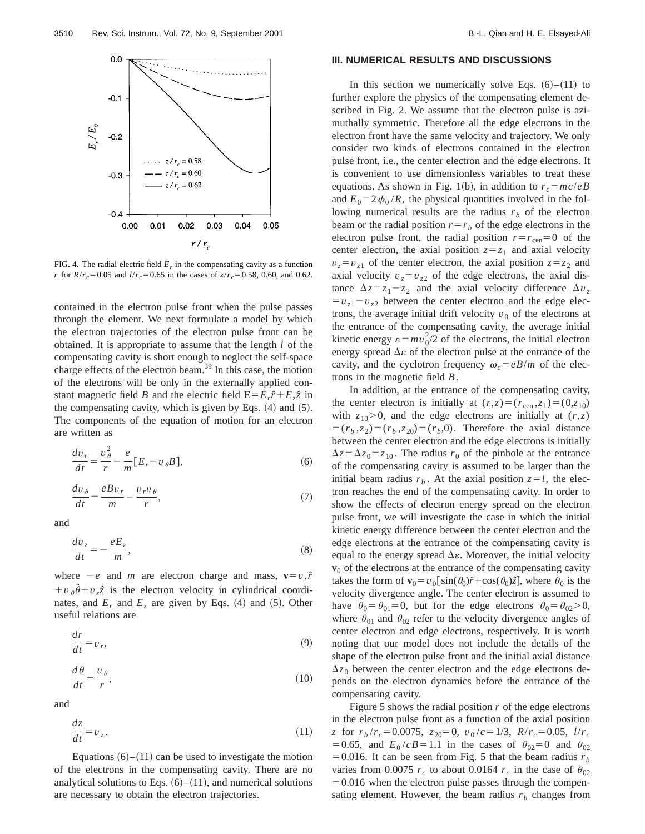

FIG. 4. The radial electric field  $E_r$  in the compensating cavity as a function *r* for  $R/r_c = 0.05$  and  $l/r_c = 0.65$  in the cases of  $z/r_c = 0.58$ , 0.60, and 0.62.

contained in the electron pulse front when the pulse passes through the element. We next formulate a model by which the electron trajectories of the electron pulse front can be obtained. It is appropriate to assume that the length *l* of the compensating cavity is short enough to neglect the self-space charge effects of the electron beam. $^{39}$  In this case, the motion of the electrons will be only in the externally applied constant magnetic field *B* and the electric field  $\mathbf{E} = E_r \hat{r} + E_z \hat{z}$  in the compensating cavity, which is given by Eqs.  $(4)$  and  $(5)$ . The components of the equation of motion for an electron are written as

$$
\frac{dv_r}{dt} = \frac{v_\theta^2}{r} - \frac{e}{m} [E_r + v_\theta B],\tag{6}
$$

$$
\frac{dv_{\theta}}{dt} = \frac{eBv_r}{m} - \frac{v_r v_{\theta}}{r},\tag{7}
$$

and

$$
\frac{dv_z}{dt} = -\frac{eE_z}{m},\tag{8}
$$

where  $-e$  and *m* are electron charge and mass,  $\mathbf{v}=v \cdot \hat{r}$  $+v_{\theta}\hat{\theta}+v_{z}\hat{z}$  is the electron velocity in cylindrical coordinates, and  $E_r$  and  $E_z$  are given by Eqs. (4) and (5). Other useful relations are

$$
\frac{dr}{dt} = v_r,\tag{9}
$$

$$
\frac{d\theta}{dt} = \frac{v_{\theta}}{r},\tag{10}
$$

and

$$
\frac{dz}{dt} = v_z \,. \tag{11}
$$

Equations  $(6)$ – $(11)$  can be used to investigate the motion of the electrons in the compensating cavity. There are no analytical solutions to Eqs.  $(6)–(11)$ , and numerical solutions are necessary to obtain the electron trajectories.

#### **III. NUMERICAL RESULTS AND DISCUSSIONS**

In this section we numerically solve Eqs.  $(6)$ – $(11)$  to further explore the physics of the compensating element described in Fig. 2. We assume that the electron pulse is azimuthally symmetric. Therefore all the edge electrons in the electron front have the same velocity and trajectory. We only consider two kinds of electrons contained in the electron pulse front, i.e., the center electron and the edge electrons. It is convenient to use dimensionless variables to treat these equations. As shown in Fig. 1(b), in addition to  $r_c = mc/eB$ and  $E_0 = 2 \phi_0 / R$ , the physical quantities involved in the following numerical results are the radius  $r<sub>b</sub>$  of the electron beam or the radial position  $r=r_b$  of the edge electrons in the electron pulse front, the radial position  $r = r_{\text{cen}} = 0$  of the center electron, the axial position  $z = z<sub>1</sub>$  and axial velocity  $v_z = v_{z1}$  of the center electron, the axial position  $z = z_2$  and axial velocity  $v_z = v_{z2}$  of the edge electrons, the axial distance  $\Delta z = z_1 - z_2$  and the axial velocity difference  $\Delta v_z$  $=v_{z1}-v_{z2}$  between the center electron and the edge electrons, the average initial drift velocity  $v<sub>0</sub>$  of the electrons at the entrance of the compensating cavity, the average initial kinetic energy  $\varepsilon = mv_0^2/2$  of the electrons, the initial electron energy spread  $\Delta \varepsilon$  of the electron pulse at the entrance of the cavity, and the cyclotron frequency  $\omega_c = eB/m$  of the electrons in the magnetic field *B*.

In addition, at the entrance of the compensating cavity, the center electron is initially at  $(r, z) = (r_{\text{cen}}, z_1) = (0, z_{10})$ with  $z_{10}$  $> 0$ , and the edge electrons are initially at  $(r, z)$  $=(r_b, z_2)=(r_b, z_{20})=(r_b, 0)$ . Therefore the axial distance between the center electron and the edge electrons is initially  $\Delta z = \Delta z_0 = z_{10}$ . The radius  $r_0$  of the pinhole at the entrance of the compensating cavity is assumed to be larger than the initial beam radius  $r<sub>b</sub>$ . At the axial position  $z = l$ , the electron reaches the end of the compensating cavity. In order to show the effects of electron energy spread on the electron pulse front, we will investigate the case in which the initial kinetic energy difference between the center electron and the edge electrons at the entrance of the compensating cavity is equal to the energy spread  $\Delta \varepsilon$ . Moreover, the initial velocity  $v<sub>0</sub>$  of the electrons at the entrance of the compensating cavity takes the form of  $\mathbf{v}_0 = v_0 \sin(\theta_0) \hat{r} + \cos(\theta_0) \hat{z}$ , where  $\theta_0$  is the velocity divergence angle. The center electron is assumed to have  $\theta_0 = \theta_{01} = 0$ , but for the edge electrons  $\theta_0 = \theta_{02} > 0$ , where  $\theta_{01}$  and  $\theta_{02}$  refer to the velocity divergence angles of center electron and edge electrons, respectively. It is worth noting that our model does not include the details of the shape of the electron pulse front and the initial axial distance  $\Delta z_0$  between the center electron and the edge electrons depends on the electron dynamics before the entrance of the compensating cavity.

Figure 5 shows the radial position  $r$  of the edge electrons in the electron pulse front as a function of the axial position *z* for  $r_b/r_c = 0.0075$ ,  $z_{20} = 0$ ,  $v_0/c = 1/3$ ,  $R/r_c = 0.05$ ,  $l/r_c$ =0.65, and  $E_0 / cB = 1.1$  in the cases of  $\theta_{02} = 0$  and  $\theta_{02}$ = 0.016. It can be seen from Fig. 5 that the beam radius  $r<sub>b</sub>$ varies from 0.0075  $r_c$  to about 0.0164  $r_c$  in the case of  $\theta_{02}$  $=0.016$  when the electron pulse passes through the compensating element. However, the beam radius  $r_b$  changes from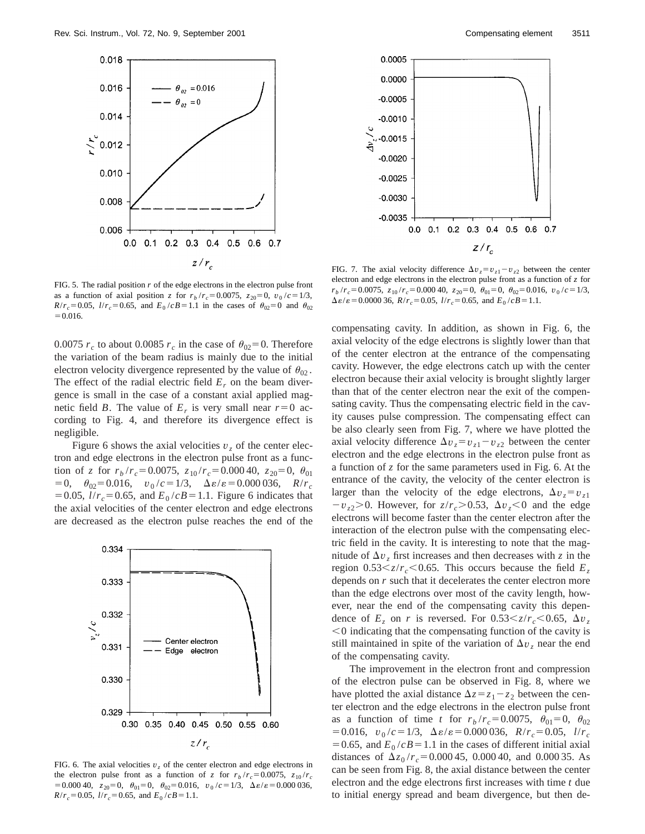

FIG. 5. The radial position  $r$  of the edge electrons in the electron pulse front as a function of axial position *z* for  $r_b/r_c = 0.0075$ ,  $z_{20} = 0$ ,  $v_0/c = 1/3$ ,  $R/r_c = 0.05$ ,  $l/r_c = 0.65$ , and  $E_0/cB = 1.1$  in the cases of  $\theta_{02} = 0$  and  $\theta_{02}$  $=0.016.$ 

0.0075  $r_c$  to about 0.0085  $r_c$  in the case of  $\theta_{02} = 0$ . Therefore the variation of the beam radius is mainly due to the initial electron velocity divergence represented by the value of  $\theta_{02}$ . The effect of the radial electric field  $E_r$  on the beam divergence is small in the case of a constant axial applied magnetic field *B*. The value of  $E_r$  is very small near  $r=0$  according to Fig. 4, and therefore its divergence effect is negligible.

Figure 6 shows the axial velocities  $v<sub>z</sub>$  of the center electron and edge electrons in the electron pulse front as a function of *z* for  $r_b/r_c = 0.0075$ ,  $z_{10}/r_c = 0.00040$ ,  $z_{20} = 0$ ,  $\theta_{01}$  $=0$ ,  $\theta_{02}=0.016$ ,  $v_0/c=1/3$ ,  $\Delta \varepsilon/\varepsilon=0.000036$ ,  $R/r_c$  $=0.05, l/r_c = 0.65$ , and  $E_0/cB = 1.1$ . Figure 6 indicates that the axial velocities of the center electron and edge electrons are decreased as the electron pulse reaches the end of the



FIG. 6. The axial velocities  $v<sub>z</sub>$  of the center electron and edge electrons in the electron pulse front as a function of *z* for  $r_b/r_c = 0.0075$ ,  $z_{10}/r_c$  $=0.000 40$ ,  $z_{20}=0$ ,  $\theta_{01}=0$ ,  $\theta_{02}=0.016$ ,  $v_0/c=1/3$ ,  $\Delta \varepsilon/\varepsilon=0.000 036$ ,  $R/r_c = 0.05$ ,  $l/r_c = 0.65$ , and  $E_0/cB = 1.1$ .



FIG. 7. The axial velocity difference  $\Delta v_z = v_{z1} - v_{z2}$  between the center electron and edge electrons in the electron pulse front as a function of *z* for  $r_b/r_c = 0.0075$ ,  $z_{10}/r_c = 0.000$  40,  $z_{20} = 0$ ,  $\theta_{01} = 0$ ,  $\theta_{02} = 0.016$ ,  $v_0/c = 1/3$ ,  $\Delta \varepsilon / \varepsilon = 0.000036$ ,  $R/r_c = 0.05$ ,  $l/r_c = 0.65$ , and  $E_0 / cB = 1.1$ .

compensating cavity. In addition, as shown in Fig. 6, the axial velocity of the edge electrons is slightly lower than that of the center electron at the entrance of the compensating cavity. However, the edge electrons catch up with the center electron because their axial velocity is brought slightly larger than that of the center electron near the exit of the compensating cavity. Thus the compensating electric field in the cavity causes pulse compression. The compensating effect can be also clearly seen from Fig. 7, where we have plotted the axial velocity difference  $\Delta v_z = v_{z1} - v_{z2}$  between the center electron and the edge electrons in the electron pulse front as a function of *z* for the same parameters used in Fig. 6. At the entrance of the cavity, the velocity of the center electron is larger than the velocity of the edge electrons,  $\Delta v_z = v_{z1}$  $-v_{z2}$  $>$ 0. However, for  $z/r_c$  $>$ 0.53,  $\Delta v_z$  $<$ 0 and the edge electrons will become faster than the center electron after the interaction of the electron pulse with the compensating electric field in the cavity. It is interesting to note that the magnitude of  $\Delta v$ <sub>z</sub> first increases and then decreases with *z* in the region  $0.53 \le z/r_c \le 0.65$ . This occurs because the field  $E_z$ depends on *r* such that it decelerates the center electron more than the edge electrons over most of the cavity length, however, near the end of the compensating cavity this dependence of  $E_z$  on *r* is reversed. For  $0.53 \le z/r_c \le 0.65$ ,  $\Delta v_z$  $<$  0 indicating that the compensating function of the cavity is still maintained in spite of the variation of  $\Delta v$ <sub>z</sub> near the end of the compensating cavity.

The improvement in the electron front and compression of the electron pulse can be observed in Fig. 8, where we have plotted the axial distance  $\Delta z = z_1 - z_2$  between the center electron and the edge electrons in the electron pulse front as a function of time *t* for  $r_b/r_c = 0.0075$ ,  $\theta_{01} = 0$ ,  $\theta_{02}$  $=0.016$ ,  $v_0/c=1/3$ ,  $\Delta \varepsilon/\varepsilon=0.000036$ ,  $R/r_c=0.05$ ,  $l/r_c$  $=0.65$ , and  $E_0 / cB = 1.1$  in the cases of different initial axial distances of  $\Delta z_0 / r_c = 0.000 45$ , 0.000 40, and 0.000 35. As can be seen from Fig. 8, the axial distance between the center electron and the edge electrons first increases with time *t* due to initial energy spread and beam divergence, but then de-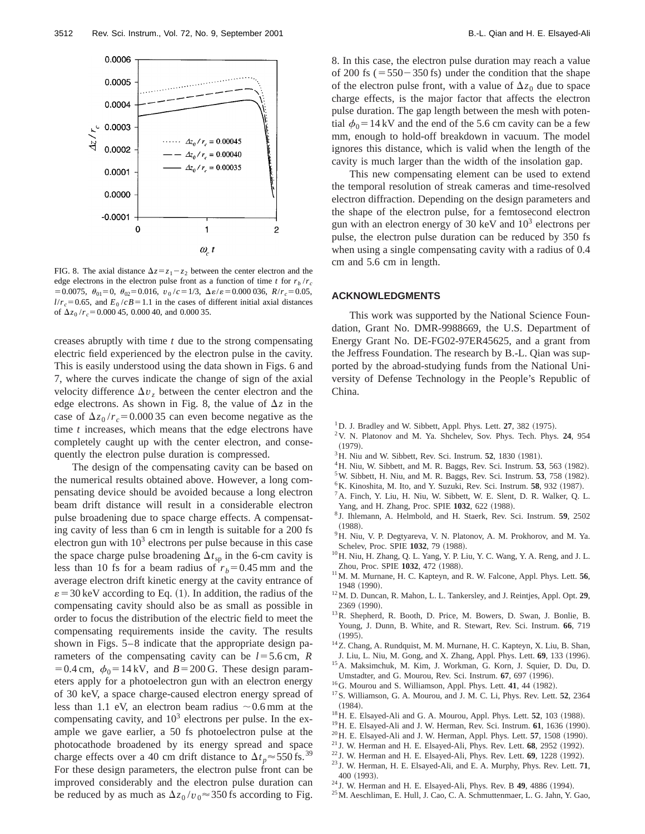

FIG. 8. The axial distance  $\Delta z = z_1 - z_2$  between the center electron and the edge electrons in the electron pulse front as a function of time *t* for  $r_b/r_c$  $=0.0075$ ,  $\theta_{01}=0$ ,  $\theta_{02}=0.016$ ,  $v_0/c=1/3$ ,  $\Delta \varepsilon/\varepsilon=0.000036$ ,  $R/r_c=0.05$ ,  $l/r_c = 0.65$ , and  $E_0/cB = 1.1$  in the cases of different initial axial distances of  $\Delta z_0 / r_c = 0.000 45, 0.000 40,$  and 0.000 35.

creases abruptly with time *t* due to the strong compensating electric field experienced by the electron pulse in the cavity. This is easily understood using the data shown in Figs. 6 and 7, where the curves indicate the change of sign of the axial velocity difference  $\Delta v$ <sub>*z*</sub> between the center electron and the edge electrons. As shown in Fig. 8, the value of  $\Delta z$  in the case of  $\Delta z_0 / r_c = 0.00035$  can even become negative as the time *t* increases, which means that the edge electrons have completely caught up with the center electron, and consequently the electron pulse duration is compressed.

The design of the compensating cavity can be based on the numerical results obtained above. However, a long compensating device should be avoided because a long electron beam drift distance will result in a considerable electron pulse broadening due to space charge effects. A compensating cavity of less than 6 cm in length is suitable for a 200 fs electron gun with  $10<sup>3</sup>$  electrons per pulse because in this case the space charge pulse broadening  $\Delta t_{sp}$  in the 6-cm cavity is less than 10 fs for a beam radius of  $r_b=0.45$  mm and the average electron drift kinetic energy at the cavity entrance of  $\varepsilon$  = 30 keV according to Eq. (1). In addition, the radius of the compensating cavity should also be as small as possible in order to focus the distribution of the electric field to meet the compensating requirements inside the cavity. The results shown in Figs. 5–8 indicate that the appropriate design parameters of the compensating cavity can be  $l=5.6$  cm,  $R$  $=0.4$  cm,  $\phi_0=14$  kV, and *B* = 200 G. These design parameters apply for a photoelectron gun with an electron energy of 30 keV, a space charge-caused electron energy spread of less than 1.1 eV, an electron beam radius  $\sim 0.6$  mm at the compensating cavity, and  $10<sup>3</sup>$  electrons per pulse. In the example we gave earlier, a 50 fs photoelectron pulse at the photocathode broadened by its energy spread and space charge effects over a 40 cm drift distance to  $\Delta t_p \approx 550$  fs.<sup>39</sup> For these design parameters, the electron pulse front can be improved considerably and the electron pulse duration can be reduced by as much as  $\Delta z_0 / v_0 \approx 350$  fs according to Fig. 8. In this case, the electron pulse duration may reach a value of 200 fs ( $=550-350$  fs) under the condition that the shape of the electron pulse front, with a value of  $\Delta z_0$  due to space charge effects, is the major factor that affects the electron pulse duration. The gap length between the mesh with potential  $\phi_0$  = 14 kV and the end of the 5.6 cm cavity can be a few mm, enough to hold-off breakdown in vacuum. The model ignores this distance, which is valid when the length of the cavity is much larger than the width of the insolation gap.

This new compensating element can be used to extend the temporal resolution of streak cameras and time-resolved electron diffraction. Depending on the design parameters and the shape of the electron pulse, for a femtosecond electron gun with an electron energy of 30 keV and  $10<sup>3</sup>$  electrons per pulse, the electron pulse duration can be reduced by 350 fs when using a single compensating cavity with a radius of 0.4 cm and 5.6 cm in length.

#### **ACKNOWLEDGMENTS**

This work was supported by the National Science Foundation, Grant No. DMR-9988669, the U.S. Department of Energy Grant No. DE-FG02-97ER45625, and a grant from the Jeffress Foundation. The research by B.-L. Qian was supported by the abroad-studying funds from the National University of Defense Technology in the People's Republic of China.

- $1$  D. J. Bradley and W. Sibbett, Appl. Phys. Lett.  $27$ ,  $382$  (1975).
- 2V. N. Platonov and M. Ya. Shchelev, Sov. Phys. Tech. Phys. **24**, 954  $(1979).$
- $3$  H. Niu and W. Sibbett, Rev. Sci. Instrum.  $52$ , 1830 (1981).
- $^{4}$ H. Niu, W. Sibbett, and M. R. Baggs, Rev. Sci. Instrum. **53**, 563 (1982).
- $5$ W. Sibbett, H. Niu, and M. R. Baggs, Rev. Sci. Instrum.  $53$ ,  $758$  (1982).
- <sup>6</sup>K. Kinoshita, M. Ito, and Y. Suzuki, Rev. Sci. Instrum. 58, 932 (1987).
- 7A. Finch, Y. Liu, H. Niu, W. Sibbett, W. E. Slent, D. R. Walker, Q. L. Yang, and H. Zhang, Proc. SPIE 1032, 622 (1988).
- <sup>8</sup> J. Ihlemann, A. Helmbold, and H. Staerk, Rev. Sci. Instrum. **59**, 2502  $(1988)$ .
- <sup>9</sup>H. Niu, V. P. Degtyareva, V. N. Platonov, A. M. Prokhorov, and M. Ya. Schelev, Proc. SPIE 1032, 79 (1988).
- 10H. Niu, H. Zhang, Q. L. Yang, Y. P. Liu, Y. C. Wang, Y. A. Reng, and J. L. Zhou, Proc. SPIE 1032, 472 (1988).
- 11M. M. Murnane, H. C. Kapteyn, and R. W. Falcone, Appl. Phys. Lett. **56**, 1948 (1990).
- 12M. D. Duncan, R. Mahon, L. L. Tankersley, and J. Reintjes, Appl. Opt. **29**, 2369 (1990).
- 13R. Shepherd, R. Booth, D. Price, M. Bowers, D. Swan, J. Bonlie, B. Young, J. Dunn, B. White, and R. Stewart, Rev. Sci. Instrum. **66**, 719  $(1995).$
- 14Z. Chang, A. Rundquist, M. M. Murnane, H. C. Kapteyn, X. Liu, B. Shan, J. Liu, L. Niu, M. Gong, and X. Zhang, Appl. Phys. Lett. 69, 133 (1996).
- 15A. Maksimchuk, M. Kim, J. Workman, G. Korn, J. Squier, D. Du, D. Umstadter, and G. Mourou, Rev. Sci. Instrum. **67**, 697 (1996).
- <sup>16</sup>G. Mourou and S. Williamson, Appl. Phys. Lett. **41**, 44 (1982).
- 17S. Williamson, G. A. Mourou, and J. M. C. Li, Phys. Rev. Lett. **52**, 2364  $(1984).$
- <sup>18</sup>H. E. Elsayed-Ali and G. A. Mourou, Appl. Phys. Lett. **52**, 103 (1988).
- $19$  H. E. Elsayed-Ali and J. W. Herman, Rev. Sci. Instrum.  $61$ , 1636 (1990).
- <sup>20</sup> H. E. Elsayed-Ali and J. W. Herman, Appl. Phys. Lett. **57**, 1508 (1990).
- $21$  J. W. Herman and H. E. Elsayed-Ali, Phys. Rev. Lett.  $68$ , 2952 (1992).
- $22$  J. W. Herman and H. E. Elsayed-Ali, Phys. Rev. Lett.  $69$ , 1228 (1992). <sup>23</sup> J. W. Herman, H. E. Elsayed-Ali, and E. A. Murphy, Phys. Rev. Lett. **71**,
- 400 (1993).
- <sup>24</sup> J. W. Herman and H. E. Elsayed-Ali, Phys. Rev. B **49**, 4886 (1994).
- 25M. Aeschliman, E. Hull, J. Cao, C. A. Schmuttenmaer, L. G. Jahn, Y. Gao,